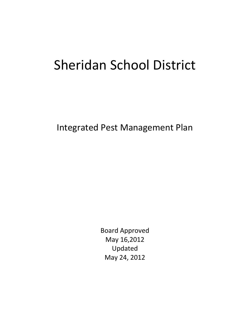# Sheridan School District

Integrated Pest Management Plan

Board Approved May 16,2012 Updated May 24, 2012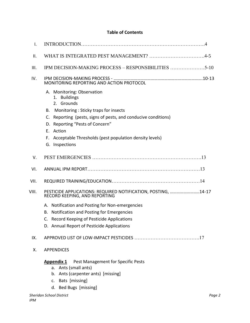# **Table of Contents**

| I.    |                                                                                                                                                                                                                                                                                                      |
|-------|------------------------------------------------------------------------------------------------------------------------------------------------------------------------------------------------------------------------------------------------------------------------------------------------------|
| ΙΙ.   |                                                                                                                                                                                                                                                                                                      |
| III.  | IPM DECISION-MAKING PROCESS - RESPONSIBILITIES 5-10                                                                                                                                                                                                                                                  |
| IV.   | MONITORING REPORTING AND ACTION PROTOCOL                                                                                                                                                                                                                                                             |
|       | A. Monitoring: Observation<br>1. Buildings<br>2. Grounds<br>B. Monitoring: Sticky traps for insects<br>C. Reporting (pests, signs of pests, and conducive conditions)<br>D. Reporting "Pests of Concern"<br>E. Action<br>F. Acceptable Thresholds (pest population density levels)<br>G. Inspections |
| V.    |                                                                                                                                                                                                                                                                                                      |
| VI.   |                                                                                                                                                                                                                                                                                                      |
| VII.  |                                                                                                                                                                                                                                                                                                      |
| VIII. | PESTICIDE APPLICATIONS: REQUIRED NOTIFICATION, POSTING, 14-17<br>RECORD KEEPING, AND REPORTING                                                                                                                                                                                                       |
|       | A. Notification and Posting for Non-emergencies<br>Notification and Posting for Emergencies<br>В.<br>C. Record Keeping of Pesticide Applications<br>D. Annual Report of Pesticide Applications                                                                                                       |
| IX.   |                                                                                                                                                                                                                                                                                                      |
| Х.    | <b>APPENDICES</b>                                                                                                                                                                                                                                                                                    |
|       | Pest Management for Specific Pests<br><b>Appendix 1</b><br>a. Ants (small ants)<br>b. Ants (carpenter ants) [missing]<br>Bats [missing]<br>$\mathsf{C}$ .<br>d. Bed Bugs [missing]                                                                                                                   |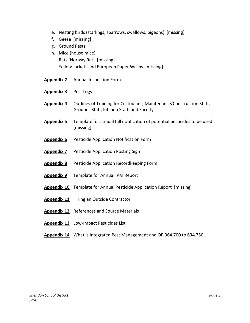- e. Nesting birds (starlings, sparrows, swallows, pigeons) [missing]
- f. Geese [missing]
- g. Ground Pests
- h. Mice (house mice)
- i. Rats (Norway Rat) [missing]
- j. Yellow Jackets and European Paper Wasps [missing]
- **Appendix 2** Annual Inspection Form
- **Appendix 3** Pest Logs
- **Appendix 4** Outlines of Training for Custodians, Maintenance/Construction Staff, Grounds Staff, Kitchen Staff, and Faculty
- **Appendix 5** Template for annual fall notification of potential pesticides to be used [missing]
- **Appendix 6** Pesticide Application Notification Form
- **Appendix 7** Pesticide Application Posting Sign
- **Appendix 8** Pesticide Application Recordkeeping Form
- **Appendix 9** Template for Annual IPM Report
- **Appendix 10** Template for Annual Pesticide Application Report [missing]
- **Appendix 11** Hiring an Outside Contractor
- **Appendix 12** References and Source Materials
- **Appendix 13** Low-Impact Pesticides List
- **Appendix 14** What is Integrated Pest Management and OR 364.700 to 634.750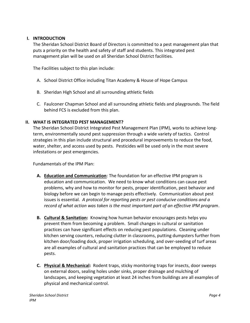### **I. INTRODUCTION**

The Sheridan School District Board of Directors is committed to a pest management plan that puts a priority on the health and safety of staff and students. This integrated pest management plan will be used on all Sheridan School District facilities.

The Facilities subject to this plan include:

- A. School District Office including Titan Academy & House of Hope Campus
- B. Sheridan High School and all surrounding athletic fields
- C. Faulconer Chapman School and all surrounding athletic fields and playgrounds. The field behind FCS is excluded from this plan.

# **II. WHAT IS INTEGRATED PEST MANAGEMENT?**

The Sheridan School District Integrated Pest Management Plan (IPM), works to achieve longterm, environmentally sound pest suppression through a wide variety of tactics. Control strategies in this plan include structural and procedural improvements to reduce the food, water, shelter, and access used by pests. Pesticides will be used only in the most severe infestations or pest emergencies.

Fundamentals of the IPM Plan:

- **A. Education and Communication**: The foundation for an effective IPM program is education and communication. We need to know what conditions can cause pest problems, why and how to monitor for pests, proper identification, pest behavior and biology before we can begin to manage pests effectively. Communication about pest issues is essential. *A protocol for reporting pests or pest conducive conditions and a record of what action was taken is the most important part of an effective IPM program*.
- **B. Cultural & Sanitation:** Knowing how human behavior encourages pests helps you prevent them from becoming a problem. Small changes in cultural or sanitation practices can have significant effects on reducing pest populations. Cleaning under kitchen serving counters, reducing clutter in classrooms, putting dumpsters further from kitchen door/loading dock, proper irrigation scheduling, and over-seeding of turf areas are all examples of cultural and sanitation practices that can be employed to reduce pests.
- **C. Physical & Mechanical:** Rodent traps, sticky monitoring traps for insects, door sweeps on external doors, sealing holes under sinks, proper drainage and mulching of landscapes, and keeping vegetation at least 24 inches from buildings are all examples of physical and mechanical control.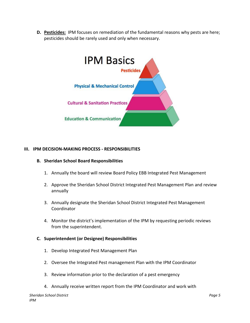**D. Pesticides:** IPM focuses on remediation of the fundamental reasons why pests are here; pesticides should be rarely used and only when necessary.



#### **III. IPM DECISION-MAKING PROCESS - RESPONSIBILITIES**

#### **B. Sheridan School Board Responsibilities**

- 1. Annually the board will review Board Policy EBB Integrated Pest Management
- 2. Approve the Sheridan School District Integrated Pest Management Plan and review annually
- 3. Annually designate the Sheridan School District Integrated Pest Management Coordinator
- 4. Monitor the district's implementation of the IPM by requesting periodic reviews from the superintendent.

#### **C. Superintendent (or Designee) Responsibilities**

- 1. Develop Integrated Pest Management Plan
- 2. Oversee the Integrated Pest management Plan with the IPM Coordinator
- 3. Review information prior to the declaration of a pest emergency
- 4. Annually receive written report from the IPM Coordinator and work with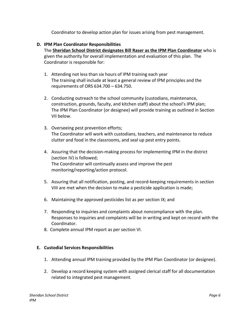Coordinator to develop action plan for issues arising from pest management.

#### **D. IPM Plan Coordinator Responsibilities**

The **Sheridan School District designates Bill Raser as the IPM Plan Coordinator** who is given the authority for overall implementation and evaluation of this plan. The Coordinator is responsible for:

- 1. Attending not less than six hours of IPM training each year The training shall include at least a general review of IPM principles and the requirements of ORS 634.700 – 634.750.
- 2. Conducting outreach to the school community (custodians, maintenance, construction, grounds, faculty, and kitchen staff) about the school's IPM plan; The IPM Plan Coordinator (or designee) will provide training as outlined in Section VII below.
- 3. Overseeing pest prevention efforts; The Coordinator will work with custodians, teachers, and maintenance to reduce clutter and food in the classrooms, and seal up pest entry points.
- 4. Assuring that the decision-making process for implementing IPM in the district (section IV) is followed; The Coordinator will continually assess and improve the pest monitoring/reporting/action protocol.
- 5. Assuring that all notification, posting, and record-keeping requirements in section VIII are met when the decision to make a pesticide application is made;
- 6. Maintaining the approved pesticides list as per section IX; and
- 7. Responding to inquiries and complaints about noncompliance with the plan. Responses to inquiries and complaints will be in writing and kept on record with the Coordinator.
- 8. Complete annual IPM report as per section VI.

#### **E. Custodial Services Responsibilities**

- 1. Attending annual IPM training provided by the IPM Plan Coordinator (or designee).
- 2. Develop a record keeping system with assigned clerical staff for all documentation related to integrated pest management.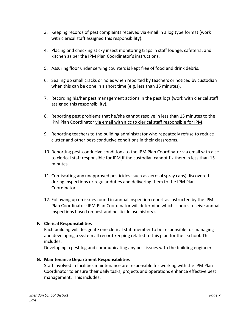- 3. Keeping records of pest complaints received via email in a log type format (work with clerical staff assigned this responsibility).
- 4. Placing and checking sticky insect monitoring traps in staff lounge, cafeteria, and kitchen as per the IPM Plan Coordinator's instructions.
- 5. Assuring floor under serving counters is kept free of food and drink debris.
- 6. Sealing up small cracks or holes when reported by teachers or noticed by custodian when this can be done in a short time (e.g. less than 15 minutes).
- 7. Recording his/her pest management actions in the pest logs (work with clerical staff assigned this responsibility).
- 8. Reporting pest problems that he/she cannot resolve in less than 15 minutes to the IPM Plan Coordinator via email with a cc to clerical staff responsible for IPM.
- 9. Reporting teachers to the building administrator who repeatedly refuse to reduce clutter and other pest-conducive conditions in their classrooms.
- 10. Reporting pest-conducive conditions to the IPM Plan Coordinator via email with a cc to clerical staff responsible for IPM if the custodian cannot fix them in less than 15 minutes.
- 11. Confiscating any unapproved pesticides (such as aerosol spray cans) discovered during inspections or regular duties and delivering them to the IPM Plan Coordinator.
- 12. Following up on issues found in annual inspection report as instructed by the IPM Plan Coordinator (IPM Plan Coordinator will determine which schools receive annual inspections based on pest and pesticide use history).

# **F. Clerical Responsibilities**

Each building will designate one clerical staff member to be responsible for managing and developing a system all record keeping related to this plan for their school. This includes:

Developing a pest log and communicating any pest issues with the building engineer.

# **G. Maintenance Department Responsibilities**

Staff involved in facilities maintenance are responsible for working with the IPM Plan Coordinator to ensure their daily tasks, projects and operations enhance effective pest management. This includes: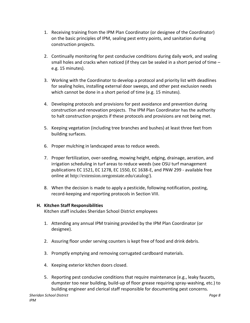- 1. Receiving training from the IPM Plan Coordinator (or designee of the Coordinator) on the basic principles of IPM, sealing pest entry points, and sanitation during construction projects.
- 2. Continually monitoring for pest conducive conditions during daily work, and sealing small holes and cracks when noticed (if they can be sealed in a short period of time  $$ e.g. 15 minutes).
- 3. Working with the Coordinator to develop a protocol and priority list with deadlines for sealing holes, installing external door sweeps, and other pest exclusion needs which cannot be done in a short period of time (e.g. 15 minutes).
- 4. Developing protocols and provisions for pest avoidance and prevention during construction and renovation projects. The IPM Plan Coordinator has the authority to halt construction projects if these protocols and provisions are not being met.
- 5. Keeping vegetation (including tree branches and bushes) at least three feet from building surfaces.
- 6. Proper mulching in landscaped areas to reduce weeds.
- 7. Proper fertilization, over-seeding, mowing height, edging, drainage, aeration, and irrigation scheduling in turf areas to reduce weeds (see OSU turf management publications EC 1521, EC 1278, EC 1550, EC 1638-E, and PNW 299 - available free online at <http://extension.oregonstate.edu/catalog/>).
- 8. When the decision is made to apply a pesticide, following notification, posting, record-keeping and reporting protocols in Section VIII.

# **H. Kitchen Staff Responsibilities**

Kitchen staff includes Sheridan School District employees

- 1. Attending any annual IPM training provided by the IPM Plan Coordinator (or designee).
- 2. Assuring floor under serving counters is kept free of food and drink debris.
- 3. Promptly emptying and removing corrugated cardboard materials.
- 4. Keeping exterior kitchen doors closed.
- 5. Reporting pest conducive conditions that require maintenance (e.g., leaky faucets, dumpster too near building, build-up of floor grease requiring spray-washing, etc.) to building engineer and clerical staff responsible for documenting pest concerns.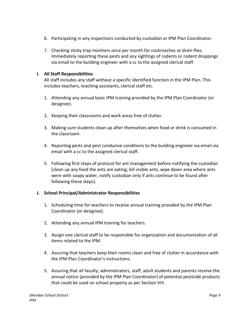- 6. Participating in any inspections conducted by custodian or IPM Plan Coordinator.
- 7. Checking sticky trap monitors once per month for cockroaches or drain flies. Immediately reporting these pests and any sightings of rodents or rodent droppings via email to the building engineer with a cc to the assigned clerical staff.

# **I. All Staff Responsibilities**

All staff includes any staff without a specific identified function in the IPM Plan. This includes teachers, teaching assistants, clerical staff etc.

- 1. Attending any annual basic IPM training provided by the IPM Plan Coordinator (or designee).
- 2. Keeping their classrooms and work areas free of clutter.
- 3. Making sure students clean up after themselves when food or drink is consumed in the classroom.
- 4. Reporting pests and pest conducive conditions to the building engineer via email via email with a cc to the assigned clerical staff.
- 5. Following first steps of protocol for ant management before notifying the custodian (clean up any food the ants are eating, kill visible ants, wipe down area where ants were with soapy water, notify custodian only if ants continue to be found after following these steps).

# **J. School Principal/Administrator Responsibilities**

- 1. Scheduling time for teachers to receive annual training provided by the IPM Plan Coordinator (or designee).
- 2. Attending any annual IPM training for teachers.
- 3. Assign one clerical staff to be responsible for organization and documentation of all items related to the IPM.
- 4. Assuring that teachers keep their rooms clean and free of clutter in accordance with the IPM Plan Coordinator's instructions.
- 5. Assuring that all faculty, administrators, staff, adult students and parents receive the annual notice (provided by the IPM Plan Coordinator) of potential pesticide products that could be used on school property as per Section VIII.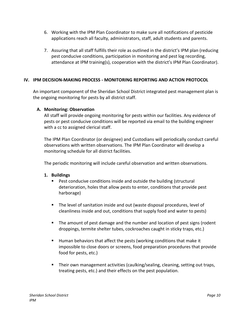- 6. Working with the IPM Plan Coordinator to make sure all notifications of pesticide applications reach all faculty, administrators, staff, adult students and parents.
- 7. Assuring that all staff fulfills their role as outlined in the district's IPM plan (reducing pest conducive conditions, participation in monitoring and pest log recording, attendance at IPM training(s), cooperation with the district's IPM Plan Coordinator).

# **IV. IPM DECISION-MAKING PROCESS - MONITORING REPORTING AND ACTION PROTOCOL**

An important component of the Sheridan School District integrated pest management plan is the ongoing monitoring for pests by all district staff.

# **A. Monitoring: Observation**

All staff will provide ongoing monitoring for pests within our facilities. Any evidence of pests or pest conducive conditions will be reported via email to the building engineer with a cc to assigned clerical staff.

The IPM Plan Coordinator (or designee) and Custodians will periodically conduct careful observations with written observations. The IPM Plan Coordinator will develop a monitoring schedule for all district facilities.

The periodic monitoring will include careful observation and written observations.

# **1. Buildings**

- **Pest conducive conditions inside and outside the building (structural** deterioration, holes that allow pests to enter, conditions that provide pest harborage)
- The level of sanitation inside and out (waste disposal procedures, level of cleanliness inside and out, conditions that supply food and water to pests)
- **The amount of pest damage and the number and location of pest signs (rodent** droppings, termite shelter tubes, cockroaches caught in sticky traps, etc.)
- Human behaviors that affect the pests (working conditions that make it impossible to close doors or screens, food preparation procedures that provide food for pests, etc.)
- Their own management activities (caulking/sealing, cleaning, setting out traps, treating pests, etc.) and their effects on the pest population.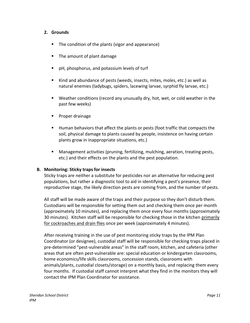#### **2. Grounds**

- The condition of the plants (vigor and appearance)
- The amount of plant damage
- pH, phosphorus, and potassium levels of turf
- Kind and abundance of pests (weeds, insects, mites, moles, etc.) as well as natural enemies (ladybugs, spiders, lacewing larvae, syrphid fly larvae, etc.)
- Weather conditions (record any unusually dry, hot, wet, or cold weather in the past few weeks)
- **Proper drainage**
- Human behaviors that affect the plants or pests (foot traffic that compacts the soil, physical damage to plants caused by people, insistence on having certain plants grow in inappropriate situations, etc.)
- Management activities (pruning, fertilizing, mulching, aeration, treating pests, etc.) and their effects on the plants and the pest population.

#### **B. Monitoring: Sticky traps for insects**

Sticky traps are neither a substitute for pesticides nor an alternative for reducing pest populations, but rather a diagnostic tool to aid in identifying a pest's presence, their reproductive stage, the likely direction pests are coming from, and the number of pests.

All staff will be made aware of the traps and their purpose so they don't disturb them. Custodians will be responsible for setting them out and checking them once per month (approximately 10 minutes), and replacing them once every four months (approximately 30 minutes). Kitchen staff will be responsible for checking those in the kitchen primarily for cockroaches and drain flies once per week (approximately 4 minutes).

After receiving training in the use of pest monitoring sticky traps by the IPM Plan Coordinator (or designee), custodial staff will be responsible for checking traps placed in pre-determined "pest-vulnerable areas" in the staff room, kitchen, and cafeteria (other areas that are often pest-vulnerable are: special education or kindergarten classrooms, home economics/life skills classrooms, concession stands, classrooms with animals/plants, custodial closets/storage) on a monthly basis, and replacing them every four months. If custodial staff cannot interpret what they find in the monitors they will contact the IPM Plan Coordinator for assistance.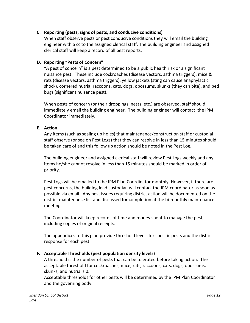#### **C. Reporting (pests, signs of pests, and conducive conditions)**

When staff observe pests or pest conducive conditions they will email the building engineer with a cc to the assigned clerical staff. The building engineer and assigned clerical staff will keep a record of all pest reports.

#### **D. Reporting "Pests of Concern"**

"A pest of concern" is a pest determined to be a public health risk or a significant nuisance pest. These include cockroaches (disease vectors, asthma triggers), mice & rats (disease vectors, asthma triggers), yellow jackets (sting can cause anaphylactic shock), cornered nutria, raccoons, cats, dogs, opossums, skunks (they can bite), and bed bugs (significant nuisance pest).

When pests of concern (or their droppings, nests, etc.) are observed, staff should immediately email the building engineer. The building engineer will contact the IPM Coordinator immediately.

#### **E. Action**

Any items (such as sealing up holes) that maintenance/construction staff or custodial staff observe (or see on Pest Logs) that they can resolve in less than 15 minutes should be taken care of and this follow up action should be noted in the Pest Log.

The building engineer and assigned clerical staff will review Pest Logs weekly and any items he/she cannot resolve in less than 15 minutes should be marked in order of priority.

Pest Logs will be emailed to the IPM Plan Coordinator monthly. However, if there are pest concerns, the building lead custodian will contact the IPM coordinator as soon as possible via email. Any pest issues requiring district action will be documented on the district maintenance list and discussed for completion at the bi-monthly maintenance meetings.

The Coordinator will keep records of time and money spent to manage the pest, including copies of original receipts.

The appendices to this plan provide threshold levels for specific pests and the district response for each pest.

# **F. Acceptable Thresholds (pest population density levels)**

A threshold is the number of pests that can be tolerated before taking action. The acceptable threshold for cockroaches, mice, rats, raccoons, cats, dogs, opossums, skunks, and nutria is 0.

Acceptable thresholds for other pests will be determined by the IPM Plan Coordinator and the governing body.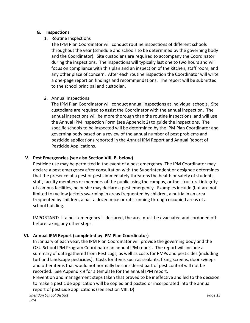#### **G. Inspections**

## 1. Routine Inspections

The IPM Plan Coordinator will conduct routine inspections of different schools throughout the year (schedule and schools to be determined by the governing body and the Coordinator). Site custodians are required to accompany the Coordinator during the inspections. The inspections will typically last one to two hours and will focus on compliance with this plan and an inspection of the kitchen, staff room, and any other place of concern. After each routine inspection the Coordinator will write a one-page report on findings and recommendations. The report will be submitted to the school principal and custodian.

#### 2. Annual Inspections

The IPM Plan Coordinator will conduct annual inspections at individual schools. Site custodians are required to assist the Coordinator with the annual inspection. The annual inspections will be more thorough than the routine inspections, and will use the Annual IPM Inspection Form (see Appendix 2) to guide the inspections. The specific schools to be inspected will be determined by the IPM Plan Coordinator and governing body based on a review of the annual number of pest problems and pesticide applications reported in the Annual IPM Report and Annual Report of Pesticide Applications.

# **V. Pest Emergencies (see also Section VIII. B. below)**

Pesticide use may be permitted in the event of a pest emergency. The IPM Coordinator may declare a pest emergency after consultation with the Superintendent or designee determines that the presence of a pest or pests immediately threatens the health or safety of students, staff, faculty members or members of the public using the campus, or the structural integrity of campus facilities, he or she may declare a pest emergency. Examples include (but are not limited to) yellow jackets swarming in areas frequented by children, a nutria in an area frequented by children, a half a dozen mice or rats running through occupied areas of a school building.

IMPORTANT: If a pest emergency is declared, the area must be evacuated and cordoned off before taking any other steps.

# **VI. Annual IPM Report (completed by IPM Plan Coordinator)**

In January of each year, the IPM Plan Coordinator will provide the governing body and the OSU School IPM Program Coordinator an annual IPM report. The report will include a summary of data gathered from Pest Logs, as well as costs for PMPs and pesticides (including turf and landscape pesticides). Costs for items such as sealants, fixing screens, door sweeps and other items that would not normally be considered part of pest control will not be recorded. See Appendix 9 for a template for the annual IPM report.

Prevention and management steps taken that proved to be ineffective and led to the decision to make a pesticide application will be copied and pasted or incorporated into the annual report of pesticide applications (see section VIII. D)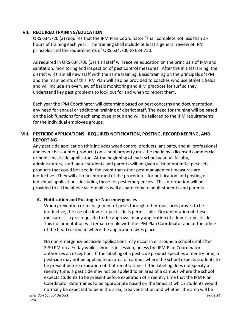#### **VII. REQUIRED TRAINING/EDUCATION**

ORS 634.720 (2) requires that the IPM Plan Coordinator "shall complete not less than six hours of training each year. The training shall include at least a general review of IPM principles and the requirements of ORS 634.700 to 634.750.

As required in ORS 634.700 (3) (i) all staff will receive education on the principals of IPM and sanitation, monitoring and inspection of pest control measures. After the initial training, the district will train all new staff with the same training. Basic training on the principals of IPM and the main points of this IPM Plan will also be provided to coaches who use athletic fields and will include an overview of basic monitoring and IPM practices for turf so they understand key pest problems to look out for and when to report them.

Each year the IPM Coordinator will determine based on pest concerns and documentation any need for annual or additional training of district staff. The need for training will be based on the job functions for each employee group and will be tailored to the IPM requirements for the individual employee groups.

# **VIII. PESTICIDE APPLICATIONS: REQUIRED NOTIFICATION, POSTING, RECORD KEEPING, AND REPORTING**

Any pesticide application (this includes weed control products, ant baits, and all professional and over-the-counter products) on school property must be made by a licensed commercial or public pesticide applicator. At the beginning of each school year, all faculty, administrators, staff, adult students and parents will be given a list of potential pesticide products that could be used in the event that other pest management measures are ineffective. They will also be informed of the procedures for notification and posting of individual applications, including those for pest emergencies. This information will be provided to all the above via e-mail as well as hard copy to adult students and parents.

# **A. Notification and Posting for Non-emergencies**

When prevention or management of pests through other measures proves to be ineffective, the use of a low-risk pesticide is permissible. Documentation of these measures is a pre-requisite to the approval of any application of a low-risk pesticide. This documentation will remain on file with the IPM Plan Coordinator and at the office of the head custodian where the application takes place.

No non-emergency pesticide applications may occur in or around a school until after 3:30 PM on a Friday while school is in session, unless the IPM Plan Coordinator authorizes an exception. If the labeling of a pesticide product specifies a reentry time, a pesticide may not be applied to an area of campus where the school expects students to be present before expiration of that reentry time. If the labeling does not specify a reentry time, a pesticide may not be applied to an area of a campus where the school expects students to be present before expiration of a reentry time that the IPM Plan Coordinator determines to be appropriate based on the times at which students would normally be expected to be in the area, area ventilation and whether the area will be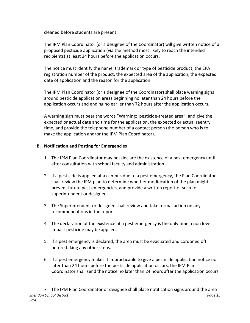cleaned before students are present.

The IPM Plan Coordinator (or a designee of the Coordinator) will give written notice of a proposed pesticide application (via the method most likely to reach the intended recipients) at least 24 hours before the application occurs.

The notice must identify the name, trademark or type of pesticide product, the EPA registration number of the product, the expected area of the application, the expected date of application and the reason for the application.

The IPM Plan Coordinator (or a designee of the Coordinator) shall place warning signs around pesticide application areas beginning no later than 24 hours before the application occurs and ending no earlier than 72 hours after the application occurs.

A warning sign must bear the words "Warning: pesticide-treated area", and give the expected or actual date and time for the application, the expected or actual reentry time, and provide the telephone number of a contact person (the person who is to make the application and/or the IPM Plan Coordinator).

# **B. Notification and Posting for Emergencies**

- 1. The IPM Plan Coordinator may not declare the existence of a pest emergency until after consultation with school faculty and administration.
- 2. If a pesticide is applied at a campus due to a pest emergency, the Plan Coordinator shall review the IPM plan to determine whether modification of the plan might prevent future pest emergencies, and provide a written report of such to superintendent or designee.
- 3. The Superintendent or designee shall review and take formal action on any recommendations in the report.
- 4. The declaration of the existence of a pest emergency is the only time a non lowimpact pesticide may be applied.
- 5. If a pest emergency is declared, the area must be evacuated and cordoned off before taking any other steps.
- 6. If a pest emergency makes it impracticable to give a pesticide application notice no later than 24 hours before the pesticide application occurs, the IPM Plan Coordinator shall send the notice no later than 24 hours after the application occurs.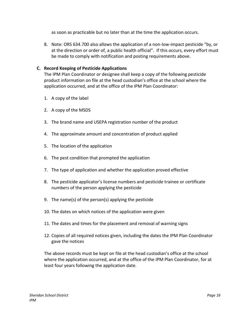as soon as practicable but no later than at the time the application occurs.

8. Note: ORS 634.700 also allows the application of a non-low-impact pesticide "by, or at the direction or order of, a public health official". If this occurs, every effort must be made to comply with notification and posting requirements above.

## **C. Record Keeping of Pesticide Applications**

The IPM Plan Coordinator or designee shall keep a copy of the following pesticide product information on file at the head custodian's office at the school where the application occurred, and at the office of the IPM Plan Coordinator:

- 1. A copy of the label
- 2. A copy of the MSDS
- 3. The brand name and USEPA registration number of the product
- 4. The approximate amount and concentration of product applied
- 5. The location of the application
- 6. The pest condition that prompted the application
- 7. The type of application and whether the application proved effective
- 8. The pesticide applicator's license numbers and pesticide trainee or certificate numbers of the person applying the pesticide
- 9. The name(s) of the person(s) applying the pesticide
- 10. The dates on which notices of the application were given
- 11. The dates and times for the placement and removal of warning signs
- 12. Copies of all required notices given, including the dates the IPM Plan Coordinator gave the notices

The above records must be kept on file at the head custodian's office at the school where the application occurred, and at the office of the IPM Plan Coordinator, for at least four years following the application date.